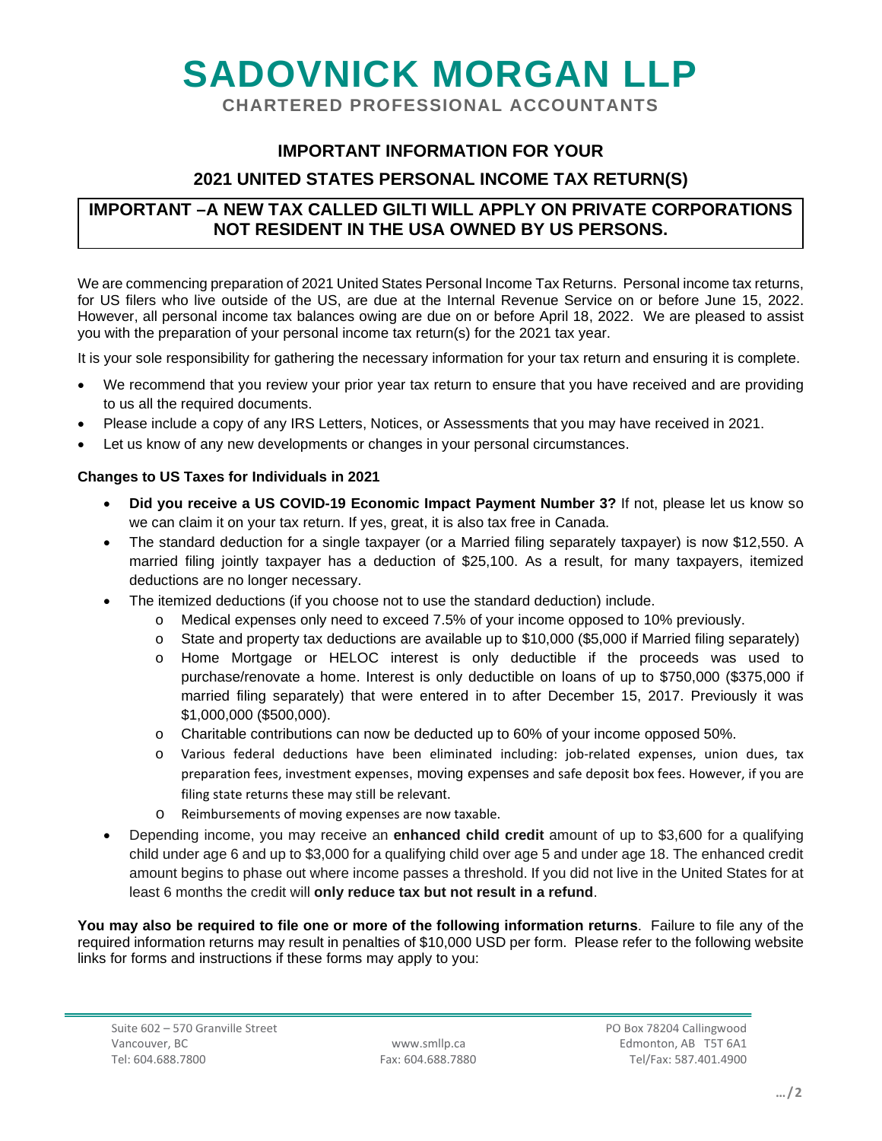# **SADOVNICK MORGAN LLP**

**CHARTERED PROFESSIONAL ACCOUNTANTS**

### **IMPORTANT INFORMATION FOR YOUR**

#### **2021 UNITED STATES PERSONAL INCOME TAX RETURN(S)**

#### **IMPORTANT –A NEW TAX CALLED GILTI WILL APPLY ON PRIVATE CORPORATIONS NOT RESIDENT IN THE USA OWNED BY US PERSONS.**

We are commencing preparation of 2021 United States Personal Income Tax Returns. Personal income tax returns, for US filers who live outside of the US, are due at the Internal Revenue Service on or before June 15, 2022. However, all personal income tax balances owing are due on or before April 18, 2022. We are pleased to assist you with the preparation of your personal income tax return(s) for the 2021 tax year.

It is your sole responsibility for gathering the necessary information for your tax return and ensuring it is complete.

- We recommend that you review your prior year tax return to ensure that you have received and are providing to us all the required documents.
- Please include a copy of any IRS Letters, Notices, or Assessments that you may have received in 2021.
- Let us know of any new developments or changes in your personal circumstances.

#### **Changes to US Taxes for Individuals in 2021**

- **Did you receive a US COVID-19 Economic Impact Payment Number 3?** If not, please let us know so we can claim it on your tax return. If yes, great, it is also tax free in Canada.
- The standard deduction for a single taxpayer (or a Married filing separately taxpayer) is now \$12,550. A married filing jointly taxpayer has a deduction of \$25,100. As a result, for many taxpayers, itemized deductions are no longer necessary.
- The itemized deductions (if you choose not to use the standard deduction) include.
	- o Medical expenses only need to exceed 7.5% of your income opposed to 10% previously.
	- o State and property tax deductions are available up to \$10,000 (\$5,000 if Married filing separately)
	- o Home Mortgage or HELOC interest is only deductible if the proceeds was used to purchase/renovate a home. Interest is only deductible on loans of up to \$750,000 (\$375,000 if married filing separately) that were entered in to after December 15, 2017. Previously it was \$1,000,000 (\$500,000).
	- o Charitable contributions can now be deducted up to 60% of your income opposed 50%.
	- o Various federal deductions have been eliminated including: job-related expenses, union dues, tax preparation fees, investment expenses, moving expenses and safe deposit box fees. However, if you are filing state returns these may still be relevant.
	- o Reimbursements of moving expenses are now taxable.
- Depending income, you may receive an **enhanced child credit** amount of up to \$3,600 for a qualifying child under age 6 and up to \$3,000 for a qualifying child over age 5 and under age 18. The enhanced credit amount begins to phase out where income passes a threshold. If you did not live in the United States for at least 6 months the credit will **only reduce tax but not result in a refund**.

**You may also be required to file one or more of the following information returns**. Failure to file any of the required information returns may result in penalties of \$10,000 USD per form. Please refer to the following website links for forms and instructions if these forms may apply to you: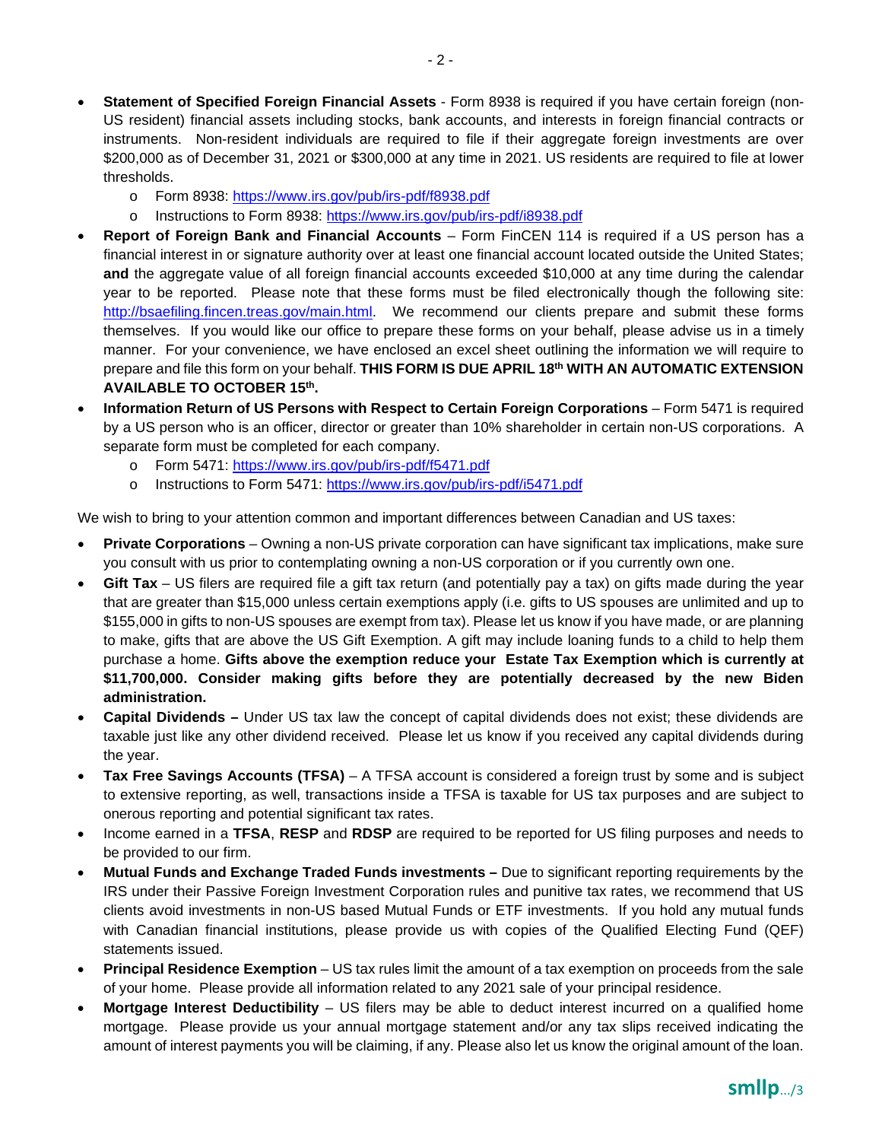- **Statement of Specified Foreign Financial Assets** Form 8938 is required if you have certain foreign (non-US resident) financial assets including stocks, bank accounts, and interests in foreign financial contracts or instruments. Non-resident individuals are required to file if their aggregate foreign investments are over \$200,000 as of December 31, 2021 or \$300,000 at any time in 2021. US residents are required to file at lower thresholds.
	- o Form 8938:<https://www.irs.gov/pub/irs-pdf/f8938.pdf>
	- o Instructions to Form 8938:<https://www.irs.gov/pub/irs-pdf/i8938.pdf>
- **Report of Foreign Bank and Financial Accounts**  Form FinCEN 114 is required if a US person has a financial interest in or signature authority over at least one financial account located outside the United States; **and** the aggregate value of all foreign financial accounts exceeded \$10,000 at any time during the calendar year to be reported. Please note that these forms must be filed electronically though the following site: [http://bsaefiling.fincen.treas.gov/main.html.](http://bsaefiling.fincen.treas.gov/main.html) We recommend our clients prepare and submit these forms themselves. If you would like our office to prepare these forms on your behalf, please advise us in a timely manner. For your convenience, we have enclosed an excel sheet outlining the information we will require to prepare and file this form on your behalf. **THIS FORM IS DUE APRIL 18th WITH AN AUTOMATIC EXTENSION AVAILABLE TO OCTOBER 15th.**
- **Information Return of US Persons with Respect to Certain Foreign Corporations Form 5471 is required** by a US person who is an officer, director or greater than 10% shareholder in certain non-US corporations. A separate form must be completed for each company.
	- o Form 5471:<https://www.irs.gov/pub/irs-pdf/f5471.pdf>
	- o Instructions to Form 5471:<https://www.irs.gov/pub/irs-pdf/i5471.pdf>

We wish to bring to your attention common and important differences between Canadian and US taxes:

- **Private Corporations**  Owning a non-US private corporation can have significant tax implications, make sure you consult with us prior to contemplating owning a non-US corporation or if you currently own one.
- **Gift Tax**  US filers are required file a gift tax return (and potentially pay a tax) on gifts made during the year that are greater than \$15,000 unless certain exemptions apply (i.e. gifts to US spouses are unlimited and up to \$155,000 in gifts to non-US spouses are exempt from tax). Please let us know if you have made, or are planning to make, gifts that are above the US Gift Exemption. A gift may include loaning funds to a child to help them purchase a home. **Gifts above the exemption reduce your Estate Tax Exemption which is currently at \$11,700,000. Consider making gifts before they are potentially decreased by the new Biden administration.**
- **Capital Dividends –** Under US tax law the concept of capital dividends does not exist; these dividends are taxable just like any other dividend received. Please let us know if you received any capital dividends during the year.
- **Tax Free Savings Accounts (TFSA)** A TFSA account is considered a foreign trust by some and is subject to extensive reporting, as well, transactions inside a TFSA is taxable for US tax purposes and are subject to onerous reporting and potential significant tax rates.
- Income earned in a **TFSA**, **RESP** and **RDSP** are required to be reported for US filing purposes and needs to be provided to our firm.
- **Mutual Funds and Exchange Traded Funds investments –** Due to significant reporting requirements by the IRS under their Passive Foreign Investment Corporation rules and punitive tax rates, we recommend that US clients avoid investments in non-US based Mutual Funds or ETF investments. If you hold any mutual funds with Canadian financial institutions, please provide us with copies of the Qualified Electing Fund (QEF) statements issued.
- **Principal Residence Exemption** US tax rules limit the amount of a tax exemption on proceeds from the sale of your home. Please provide all information related to any 2021 sale of your principal residence.
- **Mortgage Interest Deductibility**  US filers may be able to deduct interest incurred on a qualified home mortgage. Please provide us your annual mortgage statement and/or any tax slips received indicating the amount of interest payments you will be claiming, if any. Please also let us know the original amount of the loan.